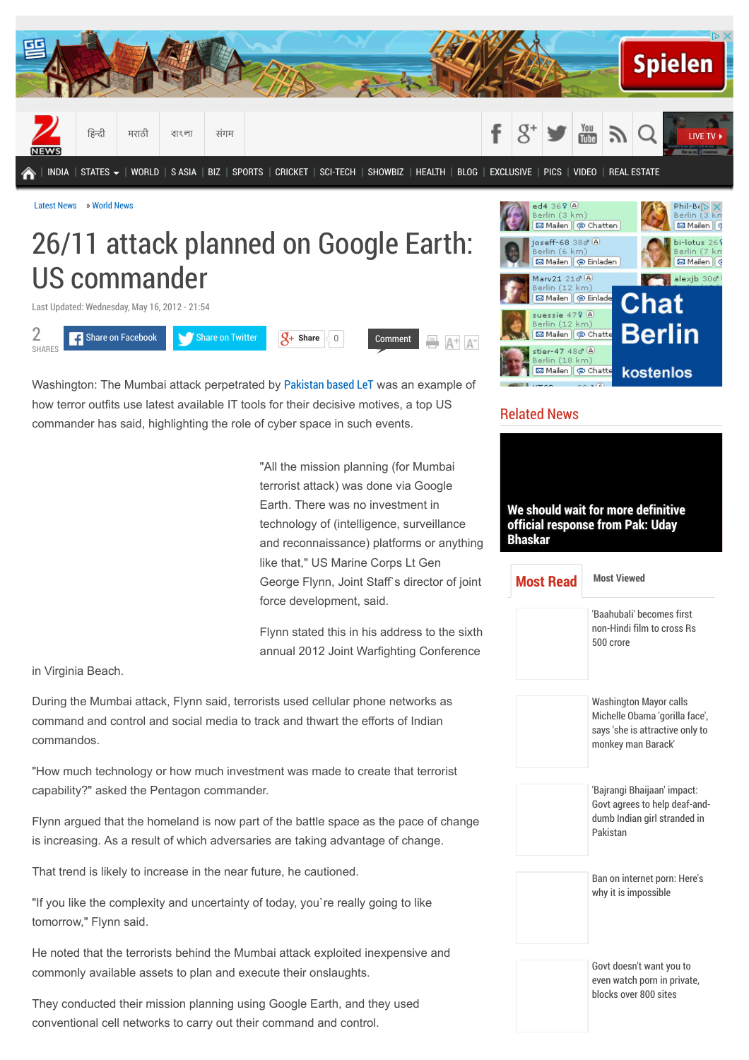

[Latest News](http://zeenews.india.com/) » [World News](http://zeenews.india.com/world)

## 26/11 attack planned on Google Earth: US commander

Last Updated: Wednesday, May 16, 2012 - 21:54



Washington: The Mumbai attack perpetrated by [Pakistan based LeT](http://zeenews.india.com/tags/pakistan-based-let.html) was an example of how terror outfits use latest available IT tools for their decisive motives, a top US commander has said, highlighting the role of cyber space in such events.

> "All the mission planning (for Mumbai terrorist attack) was done via Google Earth. There was no investment in technology of (intelligence, surveillance and reconnaissance) platforms or anything like that," US Marine Corps Lt Gen George Flynn, Joint Staff`s director of joint force development, said.

> Flynn stated this in his address to the sixth annual 2012 Joint Warfighting Conference

in Virginia Beach.

During the Mumbai attack, Flynn said, terrorists used cellular phone networks as command and control and social media to track and thwart the efforts of Indian commandos.

"How much technology or how much investment was made to create that terrorist capability?" asked the Pentagon commander.

Flynn argued that the homeland is now part of the battle space as the pace of change is increasing. As a result of which adversaries are taking advantage of change.

That trend is likely to increase in the near future, he cautioned.

"If you like the complexity and uncertainty of today, you`re really going to like tomorrow," Flynn said.

He noted that the terrorists behind the Mumbai attack exploited inexpensive and commonly available assets to plan and execute their onslaughts.

They conducted their mission planning using Google Earth, and they used conventional cell networks to carry out their command and control.



## Related News

**[We should wait for more definitive](http://zeenews.india.com/news/india/we-should-wait-for-more-definitive-official-response-from-pak-uday-bhaskar_1629006.html) official response from Pak: Uday Bhaskar** 'Baahubali' becomes first [non-Hindi film to cross Rs](http://zeenews.india.com/entertainment/regional/baahubali-becomes-first-non-hindi-film-to-cross-rs-500-crores_1640758.html) 500 crore Washington Mayor calls [Michelle Obama 'gorilla face',](http://zeenews.india.com/news/world/washington-mayor-calls-michelle-obama-gorilla-face-says-she-is-attractive-only-to-monkey-man-barack_1640655.html) says 'she is attractive only to monkey man Barack' 'Bajrangi Bhaijaan' impact: [Govt agrees to help deaf-and](http://zeenews.india.com/news/india/bajrangi-bhaijaan-impact-govt-agrees-to-help-deaf-and-dumb-indian-girl-stranded-in-pakistan_1640852.html)dumb Indian girl stranded in Pakistan [Ban on internet porn: Here's](http://zeenews.india.com/news/india/ban-on-internet-porn-heres-why-it-is-impossible_1641140.html) why it is impossible Govt doesn't want you to **[Most Read](http://zeenews.india.com/news/world/26/11-attack-planned-on-google-earth-us-commander_775669.html#read) [Most Viewed](http://zeenews.india.com/news/world/26/11-attack-planned-on-google-earth-us-commander_775669.html#viewd)**

> [even watch porn in private,](http://zeenews.india.com/news/net-news/govt-doesnt-want-you-to-even-watch-porn-in-private-blocks-over-800-sites_1640711.html) blocks over 800 sites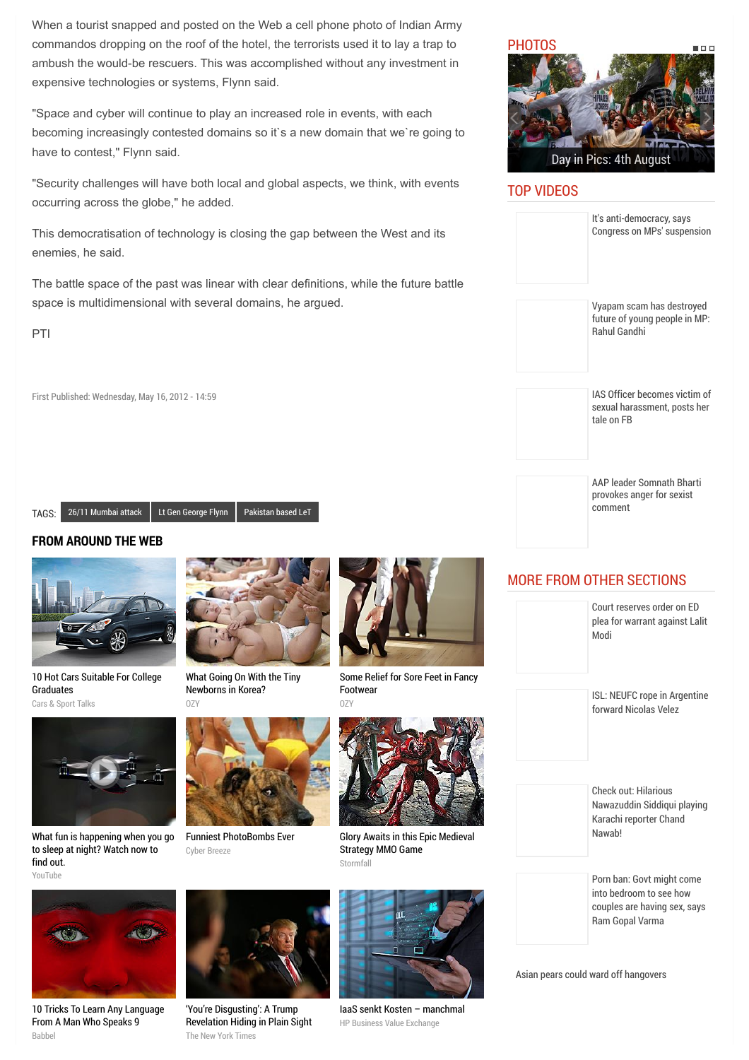When a tourist snapped and posted on the Web a cell phone photo of Indian Army commandos dropping on the roof of the hotel, the terrorists used it to lay a trap to ambush the would-be rescuers. This was accomplished without any investment in expensive technologies or systems, Flynn said.

"Space and cyber will continue to play an increased role in events, with each becoming increasingly contested domains so it`s a new domain that we`re going to have to contest," Flynn said.

"Security challenges will have both local and global aspects, we think, with events occurring across the globe," he added.

This democratisation of technology is closing the gap between the West and its enemies, he said.

The battle space of the past was linear with clear definitions, while the future battle space is multidimensional with several domains, he argued.

PTI

First Published: Wednesday, May 16, 2012 - 14:59

TAGS: [26/11 Mumbai attack](http://zeenews.india.com/tags/26/11-mumbai-attack.html) [Lt Gen George Flynn](http://zeenews.india.com/tags/lt-gen-george-flynn.html) [Pakistan based LeT](http://zeenews.india.com/tags/pakistan-based-let.html)

## **FROM AROUND THE WEB**



[10 Hot Cars Suitable For College](http://fryerschat.com/10-hot-cars-suitable-for-college-graduates/) Graduates Cars & Sport Talks



[What Going On With the Tiny](http://www.ozy.com/acumen/whats-wrong-with-all-those-little-newborns/40384?utm_source=Outbrain&utm_medium=CPC&utm_campaign=INTL%20-%20All%20Clicks%20ALL%20Devices) Newborns in Korea?  $07$ 



[Some Relief for Sore Feet in Fancy](http://www.ozy.com/good-sht/sore-feet-try-these/40152?utm_source=Outbrain&utm_medium=CPC&utm_campaign=INTL%20-%20All%20Clicks%20ALL%20Devices) Footwear



[What fun is happening when you go](http://youtu.be/uj0v1BgzUdc?utm_source=outbrain&utm_medium=referral&utm_content=swarm-tvc-type03&utm_campaign=aim) to sleep at night? Watch now to find out. YouTube



[Funniest PhotoBombs Ever](http://cyber-breeze.com/the-funnies-photo-bombs-ever/?utm_source=Outbrain&utm_medium=referral&utm_campaign=OB-PhotoBomb-Int-DT) Cyber Breeze



[Glory Awaits in this Epic Medieval](http://plarium.com/en/strategy-games/stormfall-age-of-war/?plid=64580&pxl=outbrain&publisherID=SF_EN_US_1) Strategy MMO Game Stormfall



[IaaS senkt Kosten – manchmal](http://businessvalueexchange.com/de/2015/06/23/iaas-senkt-kosten-manchmal/) HP Business Value Exchange



## TOP VIDEOS

| It's anti-democracy, says<br>Congress on MPs' suspension                                                |
|---------------------------------------------------------------------------------------------------------|
| Vyapam scam has destroyed<br>future of young people in MP:<br><b>Rahul Gandhi</b>                       |
| IAS Officer becomes victim of<br>sexual harassment, posts her<br>tale on FB                             |
| <b>AAP leader Somnath Bharti</b><br>provokes anger for sexist<br>comment                                |
| <b>MORE FROM OTHER SECTIONS</b><br>Court reserves order on ED<br>plea for warrant against Lalit<br>Modi |
| ISL: NEUFC rope in Argentine<br>forward Nicolas Velez                                                   |
|                                                                                                         |
| <b>Check out: Hilarious</b><br>Nawazuddin Siddiqui playing<br>Karachi reporter Chand<br>Nawab!          |

[Asian pears could ward off hangovers](http://zeenews.india.com/news/health/healthy-eating/asian-pears-could-ward-off-hangovers_1641547.html)

Ram Gopal Varma



[10 Tricks To Learn Any Language](http://www.babbel.com/en/magazine/10-tips-from-an-expert?slc=engmag-a1-vid-bv1-tipsandtricks-ob&utm_source=outbrain&utm_medium=cpc&utm_campaign=cd_engall_gen_cde_bv1_polyglot) From A Man Who Speaks 9 Babbel